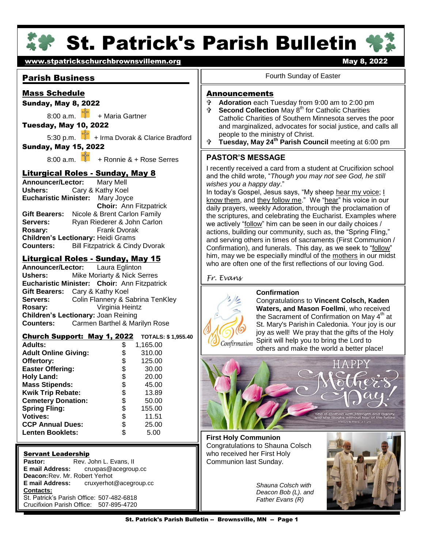

# **St. Patrick's Parish Bulletin '**

# [www.stpatrickschurchbrownsvillemn.org](http://www.stpatrickschurchbrownsvillemn.org/) metallicity and the May 8, 2022

# Parish Business

# Mass Schedule

# Sunday, May 8, 2022

 $8:00$  a.m.  $\frac{1}{2}$  + Maria Gartner

# Tuesday, May 10, 2022

5:30 p.m.  $\begin{bmatrix} 1 \\ 1 \end{bmatrix}$  + Irma Dvorak & Clarice Bradford Sunday, May 15, 2022

8:00 a.m.  $\frac{5}{3}$  + Ronnie & + Rose Serres

# Liturgical Roles - Sunday, May 8

 **Eucharistic Minister:** Mary Joyce **Announcer/Lector:** Mary Mell **Ushers:** Cary & Kathy Koel **Choir:** Ann Fitzpatrick **Gift Bearers:** Nicole & Brent Carlon Family **Servers:** Ryan Riederer & John Carlon **Rosary:** Frank Dvorak **Children's Lectionary:** Heidi Grams **Counters:** Bill Fitzpatrick & Cindy Dvorak

# Liturgical Roles - Sunday, May 15

**Announcer/Lector:** Laura Eglinton **Ushers:** Mike Moriarty & Nick Serres **Eucharistic Minister: Choir:** Ann Fitzpatrick **Gift Bearers:** Cary & Kathy Koel **Servers:** Colin Flannery & Sabrina TenKley **Rosary:** Virginia Heintz **Children's Lectionary:** Joan Reining **Counters:** Carmen Barthel & Marilyn Rose

# Church Support: May 1, 2022 **TOTALS: \$ 1,955.40**

| <b>Adults:</b>              | \$ | 1,165.00 |  |
|-----------------------------|----|----------|--|
| <b>Adult Online Giving:</b> | \$ | 310.00   |  |
| Offertory:                  | \$ | 125.00   |  |
| <b>Easter Offering:</b>     | \$ | 30.00    |  |
| <b>Holy Land:</b>           | \$ | 20.00    |  |
| <b>Mass Stipends:</b>       | \$ | 45.00    |  |
| Kwik Trip Rebate:           | \$ | 13.89    |  |
| <b>Cemetery Donation:</b>   | \$ | 50.00    |  |
| <b>Spring Fling:</b>        | \$ | 155.00   |  |
| <b>Votives:</b>             | \$ | 11.51    |  |
| <b>CCP Annual Dues:</b>     | \$ | 25.00    |  |
| <b>Lenten Booklets:</b>     | S  | 5.00     |  |
|                             |    |          |  |

#### Servant Leadership

**Pastor:** Rev. John L. Evans, II<br>**E mail Address:** cruxpas@acegroup **E mail Address:** cruxpas@acegroup.cc **Deacon: Rev. Mr. Robert Yerhot**<br>**E mail Address:** cruxverhot **E mail Address:** cruxyerhot@acegroup.cc **Contacts:** St. Patrick's Parish Office: 507-482-6818 Crucifixion Parish Office: 507-895-4720

#### Fourth Sunday of Easter

### **Announcements**

- **Adoration** each Tuesday from 9:00 am to 2:00 pm<br> **A Second Collection** May 8<sup>th</sup> for Catholic Charities
- **Second Collection** May 8<sup>th</sup> for Catholic Charities Catholic Charities of Southern Minnesota serves the poor and marginalized, advocates for social justice, and calls all people to the ministry of Christ.
- **Tuesday, May 24th Parish Council** meeting at 6:00 pm

# **PASTOR'S MESSAGE**

I recently received a card from a student at Crucifixion school and the child wrote, "*Though you may not see God, he still wishes you a happy day*."

In today's Gospel, Jesus says, "My sheep hear my voice; I know them, and they follow me." We "hear" his voice in our daily prayers, weekly Adoration, through the proclamation of the scriptures, and celebrating the Eucharist. Examples where we actively "follow" him can be seen in our daily choices / actions, building our community, such as, the "Spring Fling," and serving others in times of sacraments (First Communion / Confirmation), and funerals. This day, as we seek to "follow" him, may we be especially mindful of the mothers in our midst who are often one of the first reflections of our loving God.

#### *Fr. Evans*

#### **Confirmation**



 joy as well! We pray that the gifts of the Holy Congratulations to **Vincent Colsch, Kaden Waters, and Mason Foellmi**, who received the Sacrament of Confirmation on May  $4<sup>th</sup>$  at St. Mary's Parish in Caledonia. Your joy is our Spirit will help you to bring the Lord to others and make the world a better place!



**First Holy Communion** Congratulations to Shauna Colsch who received her First Holy Communion last Sunday.

> *Shauna Colsch with Deacon Bob (L). and Father Evans (R)*